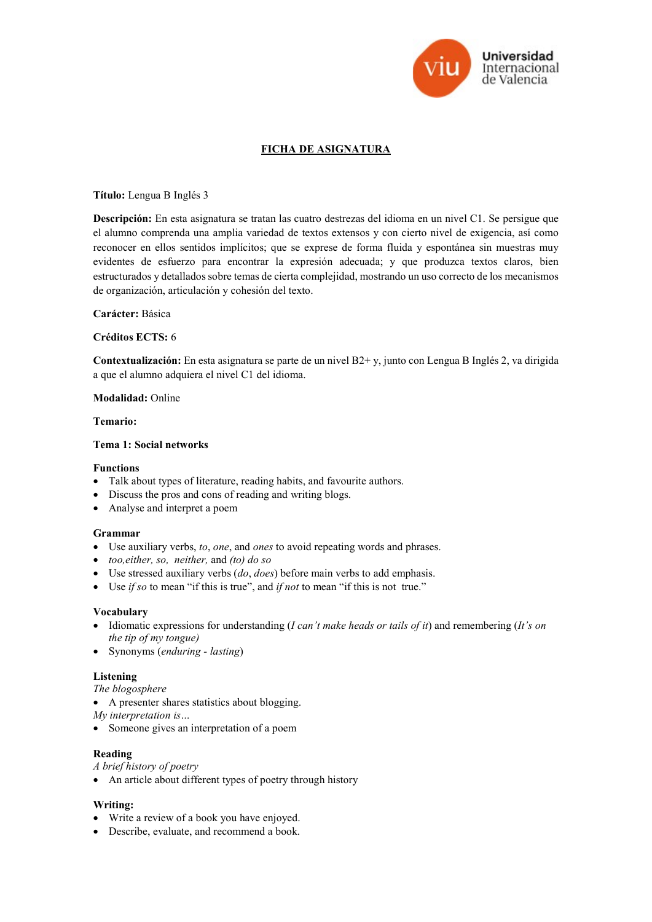

# FICHA DE ASIGNATURA

## Título: Lengua B Inglés 3

Descripción: En esta asignatura se tratan las cuatro destrezas del idioma en un nivel C1. Se persigue que el alumno comprenda una amplia variedad de textos extensos y con cierto nivel de exigencia, así como reconocer en ellos sentidos implícitos; que se exprese de forma fluida y espontánea sin muestras muy evidentes de esfuerzo para encontrar la expresión adecuada; y que produzca textos claros, bien estructurados y detallados sobre temas de cierta complejidad, mostrando un uso correcto de los mecanismos de organización, articulación y cohesión del texto.

## Carácter: Básica

## Créditos ECTS: 6

Contextualización: En esta asignatura se parte de un nivel B2+ y, junto con Lengua B Inglés 2, va dirigida a que el alumno adquiera el nivel C1 del idioma.

#### Modalidad: Online

#### Temario:

#### Tema 1: Social networks

## Functions

- Talk about types of literature, reading habits, and favourite authors.
- Discuss the pros and cons of reading and writing blogs.
- Analyse and interpret a poem

#### Grammar

- Use auxiliary verbs, to, one, and ones to avoid repeating words and phrases.
- too,either, so, neither, and (to) do so
- $\bullet$  Use stressed auxiliary verbs (do, does) before main verbs to add emphasis.
- Use *if so* to mean "if this is true", and *if not* to mean "if this is not true."

## Vocabulary

- $\bullet$  Idiomatic expressions for understanding (I can't make heads or tails of it) and remembering (It's on the tip of my tongue)
- Synonyms (enduring lasting)

## Listening

The blogosphere

A presenter shares statistics about blogging.

My interpretation is…

Someone gives an interpretation of a poem

## Reading

A brief history of poetry

An article about different types of poetry through history

## Writing:

- Write a review of a book you have enjoyed.
- Describe, evaluate, and recommend a book.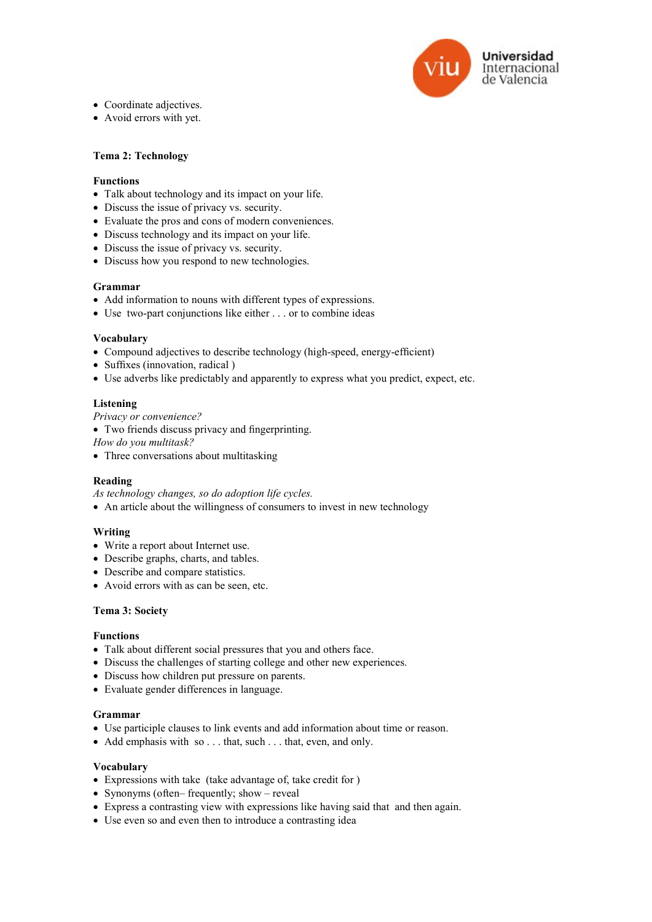

- Coordinate adjectives.
- Avoid errors with yet.

## Tema 2: Technology

#### Functions

- Talk about technology and its impact on your life.
- Discuss the issue of privacy vs. security.
- Evaluate the pros and cons of modern conveniences.
- Discuss technology and its impact on your life.
- Discuss the issue of privacy vs. security.
- Discuss how you respond to new technologies.

## Grammar

- Add information to nouns with different types of expressions.
- Use two-part conjunctions like either . . . or to combine ideas

#### Vocabulary

- Compound adjectives to describe technology (high-speed, energy-efficient)
- Suffixes (innovation, radical)
- Use adverbs like predictably and apparently to express what you predict, expect, etc.

#### Listening

Privacy or convenience?

Two friends discuss privacy and fingerprinting.

How do you multitask?

• Three conversations about multitasking

#### Reading

As technology changes, so do adoption life cycles.

An article about the willingness of consumers to invest in new technology

## Writing

- Write a report about Internet use.
- Describe graphs, charts, and tables.
- Describe and compare statistics.
- Avoid errors with as can be seen, etc.

## Tema 3: Society

#### Functions

- Talk about different social pressures that you and others face.
- Discuss the challenges of starting college and other new experiences.
- Discuss how children put pressure on parents.
- Evaluate gender differences in language.

#### Grammar

- Use participle clauses to link events and add information about time or reason.
- Add emphasis with so . . . that, such . . . that, even, and only.

#### Vocabulary

- Expressions with take (take advantage of, take credit for )
- Synonyms (often– frequently; show reveal
- Express a contrasting view with expressions like having said that and then again.
- Use even so and even then to introduce a contrasting idea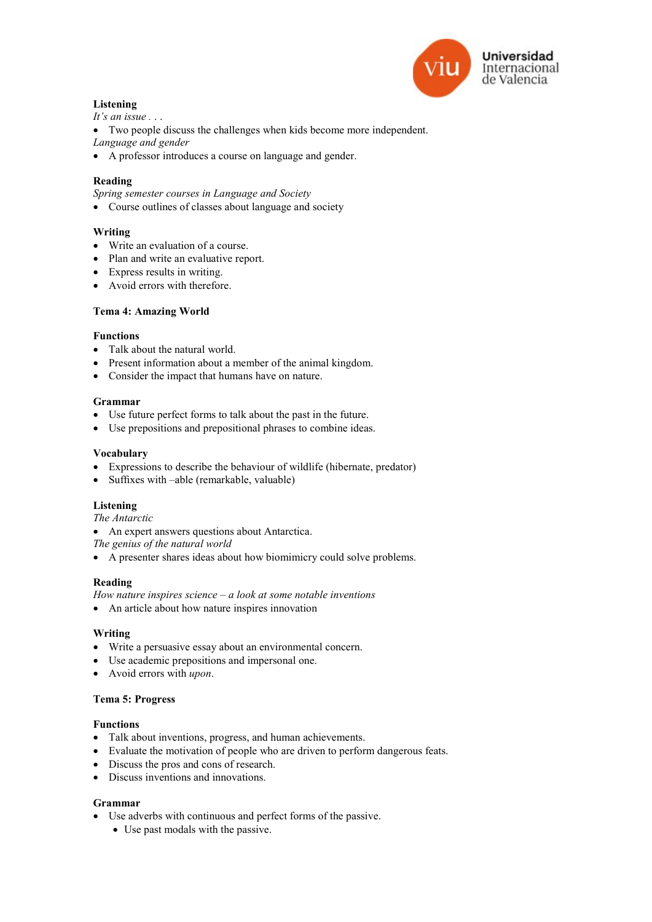

# Listening

It's an issue  $\ldots$ 

Two people discuss the challenges when kids become more independent.

Language and gender

A professor introduces a course on language and gender.

# Reading

Spring semester courses in Language and Society

Course outlines of classes about language and society

# Writing

- Write an evaluation of a course.
- Plan and write an evaluative report.
- Express results in writing.
- Avoid errors with therefore.

## Tema 4: Amazing World

## Functions

- Talk about the natural world.
- Present information about a member of the animal kingdom.
- Consider the impact that humans have on nature.

## Grammar

- Use future perfect forms to talk about the past in the future.
- Use prepositions and prepositional phrases to combine ideas.

## Vocabulary

- Expressions to describe the behaviour of wildlife (hibernate, predator)
- Suffixes with –able (remarkable, valuable)

## Listening

The Antarctic

An expert answers questions about Antarctica.

The genius of the natural world

A presenter shares ideas about how biomimicry could solve problems.

## Reading

How nature inspires science  $-a$  look at some notable inventions

An article about how nature inspires innovation

## Writing

- Write a persuasive essay about an environmental concern.
- Use academic prepositions and impersonal one.
- Avoid errors with upon.

## Tema 5: Progress

# Functions

- Talk about inventions, progress, and human achievements.
- Evaluate the motivation of people who are driven to perform dangerous feats.
- Discuss the pros and cons of research.
- Discuss inventions and innovations.

## Grammar

- Use adverbs with continuous and perfect forms of the passive.
	- Use past modals with the passive.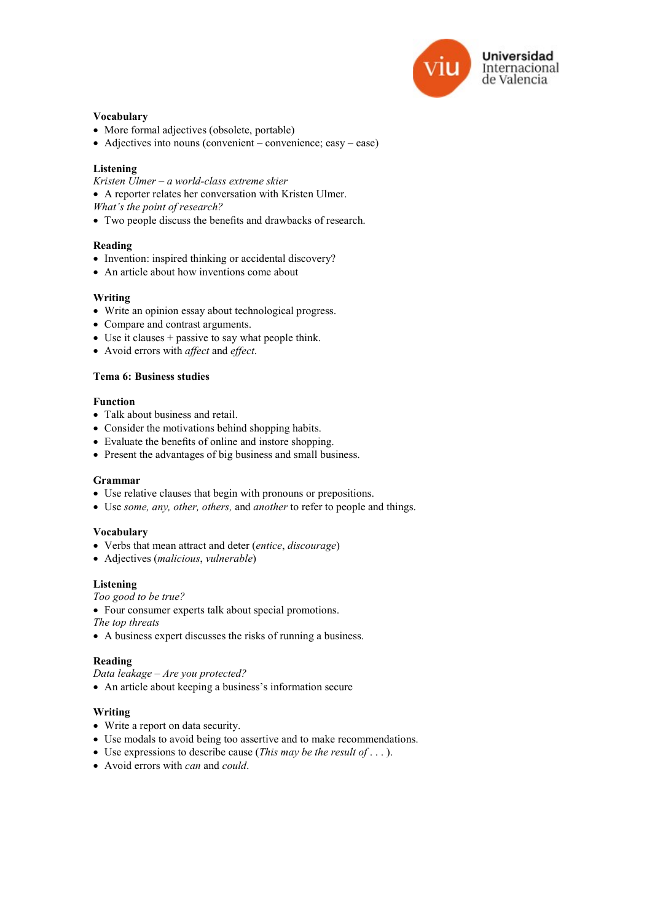

## Vocabulary

- More formal adjectives (obsolete, portable)
- Adjectives into nouns (convenient convenience; easy ease)

# Listening

Kristen Ulmer – a world-class extreme skier

- A reporter relates her conversation with Kristen Ulmer.
- What's the point of research?
- Two people discuss the benefits and drawbacks of research.

## Reading

- Invention: inspired thinking or accidental discovery?
- An article about how inventions come about

## Writing

- Write an opinion essay about technological progress.
- Compare and contrast arguments.
- Use it clauses + passive to say what people think.
- Avoid errors with affect and effect.

# Tema 6: Business studies

## Function

- Talk about business and retail.
- Consider the motivations behind shopping habits.
- Evaluate the benefits of online and instore shopping.
- Present the advantages of big business and small business.

## Grammar

- Use relative clauses that begin with pronouns or prepositions.
- Use some, any, other, others, and another to refer to people and things.

## Vocabulary

- Verbs that mean attract and deter (entice, discourage)
- Adjectives (malicious, vulnerable)

## Listening

Too good to be true?

Four consumer experts talk about special promotions.

The top threats

A business expert discusses the risks of running a business.

## Reading

- Data leakage Are you protected?
- An article about keeping a business's information secure

## Writing

- Write a report on data security.
- Use modals to avoid being too assertive and to make recommendations.
- Use expressions to describe cause (This may be the result of  $\dots$  ).
- Avoid errors with *can* and *could*.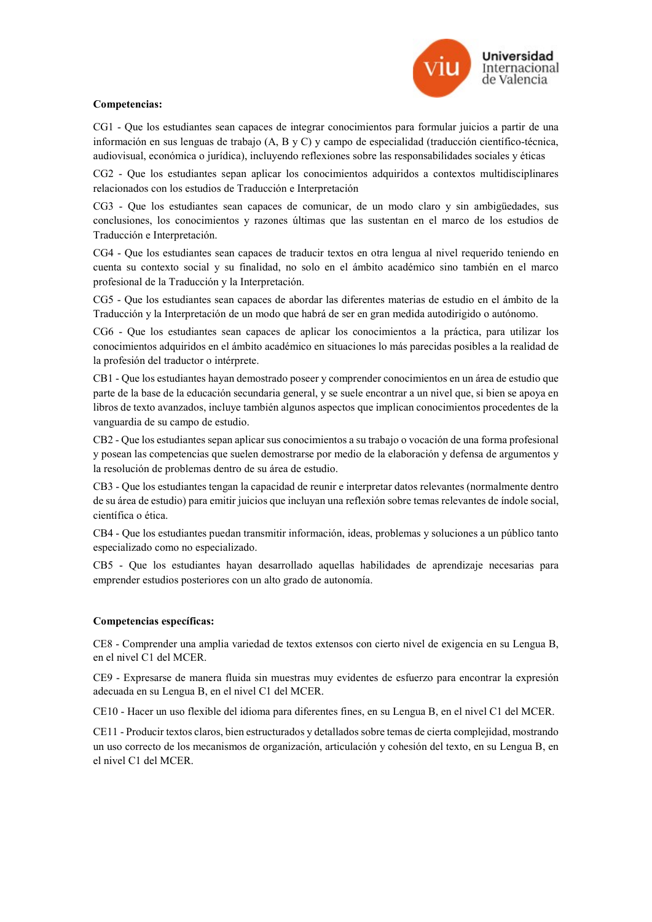

## Competencias:

CG1 - Que los estudiantes sean capaces de integrar conocimientos para formular juicios a partir de una información en sus lenguas de trabajo (A, B y C) y campo de especialidad (traducción científico-técnica, audiovisual, económica o jurídica), incluyendo reflexiones sobre las responsabilidades sociales y éticas

CG2 - Que los estudiantes sepan aplicar los conocimientos adquiridos a contextos multidisciplinares relacionados con los estudios de Traducción e Interpretación

CG3 - Que los estudiantes sean capaces de comunicar, de un modo claro y sin ambigüedades, sus conclusiones, los conocimientos y razones últimas que las sustentan en el marco de los estudios de Traducción e Interpretación.

CG4 - Que los estudiantes sean capaces de traducir textos en otra lengua al nivel requerido teniendo en cuenta su contexto social y su finalidad, no solo en el ámbito académico sino también en el marco profesional de la Traducción y la Interpretación.

CG5 - Que los estudiantes sean capaces de abordar las diferentes materias de estudio en el ámbito de la Traducción y la Interpretación de un modo que habrá de ser en gran medida autodirigido o autónomo.

CG6 - Que los estudiantes sean capaces de aplicar los conocimientos a la práctica, para utilizar los conocimientos adquiridos en el ámbito académico en situaciones lo más parecidas posibles a la realidad de la profesión del traductor o intérprete.

CB1 - Que los estudiantes hayan demostrado poseer y comprender conocimientos en un área de estudio que parte de la base de la educación secundaria general, y se suele encontrar a un nivel que, si bien se apoya en libros de texto avanzados, incluye también algunos aspectos que implican conocimientos procedentes de la vanguardia de su campo de estudio.

CB2 - Que los estudiantes sepan aplicar sus conocimientos a su trabajo o vocación de una forma profesional y posean las competencias que suelen demostrarse por medio de la elaboración y defensa de argumentos y la resolución de problemas dentro de su área de estudio.

CB3 - Que los estudiantes tengan la capacidad de reunir e interpretar datos relevantes (normalmente dentro de su área de estudio) para emitir juicios que incluyan una reflexión sobre temas relevantes de índole social, científica o ética.

CB4 - Que los estudiantes puedan transmitir información, ideas, problemas y soluciones a un público tanto especializado como no especializado.

CB5 - Que los estudiantes hayan desarrollado aquellas habilidades de aprendizaje necesarias para emprender estudios posteriores con un alto grado de autonomía.

# Competencias específicas:

CE8 - Comprender una amplia variedad de textos extensos con cierto nivel de exigencia en su Lengua B, en el nivel C1 del MCER.

CE9 - Expresarse de manera fluida sin muestras muy evidentes de esfuerzo para encontrar la expresión adecuada en su Lengua B, en el nivel C1 del MCER.

CE10 - Hacer un uso flexible del idioma para diferentes fines, en su Lengua B, en el nivel C1 del MCER.

CE11 - Producir textos claros, bien estructurados y detallados sobre temas de cierta complejidad, mostrando un uso correcto de los mecanismos de organización, articulación y cohesión del texto, en su Lengua B, en el nivel C1 del MCER.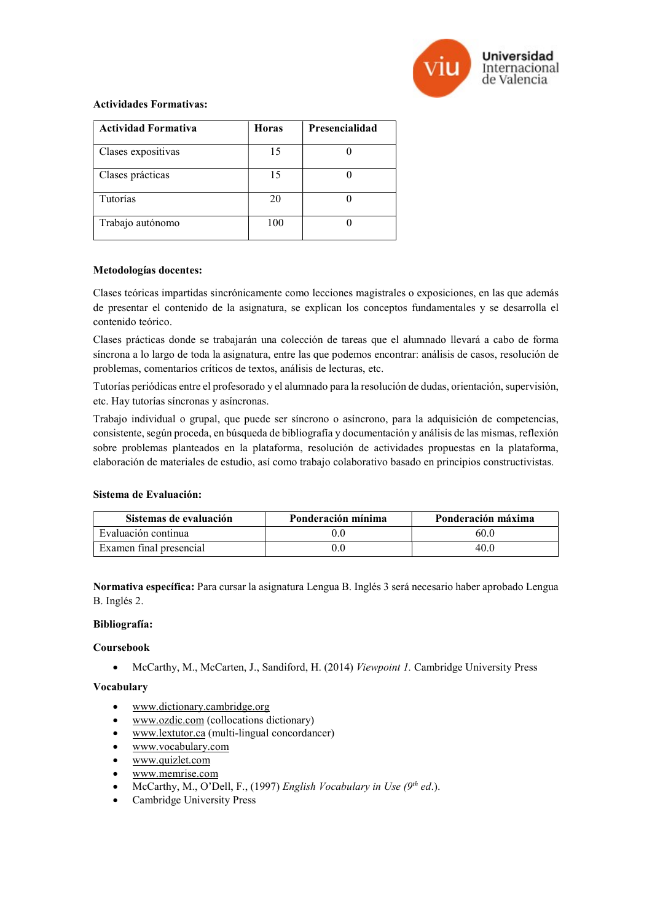

## Actividades Formativas:

| <b>Actividad Formativa</b> | <b>Horas</b> | Presencialidad |
|----------------------------|--------------|----------------|
| Clases expositivas         | 15           |                |
| Clases prácticas           | 15           |                |
| Tutorías                   | 20           |                |
| Trabajo autónomo           | 100          |                |

#### Metodologías docentes:

Clases teóricas impartidas sincrónicamente como lecciones magistrales o exposiciones, en las que además de presentar el contenido de la asignatura, se explican los conceptos fundamentales y se desarrolla el contenido teórico.

Clases prácticas donde se trabajarán una colección de tareas que el alumnado llevará a cabo de forma síncrona a lo largo de toda la asignatura, entre las que podemos encontrar: análisis de casos, resolución de problemas, comentarios críticos de textos, análisis de lecturas, etc.

Tutorías periódicas entre el profesorado y el alumnado para la resolución de dudas, orientación, supervisión, etc. Hay tutorías síncronas y asíncronas.

Trabajo individual o grupal, que puede ser síncrono o asíncrono, para la adquisición de competencias, consistente, según proceda, en búsqueda de bibliografía y documentación y análisis de las mismas, reflexión sobre problemas planteados en la plataforma, resolución de actividades propuestas en la plataforma, elaboración de materiales de estudio, así como trabajo colaborativo basado en principios constructivistas.

## Sistema de Evaluación:

| Sistemas de evaluación  | Ponderación mínima | Ponderación máxima |
|-------------------------|--------------------|--------------------|
| Evaluación continua     |                    | 60.0               |
| Examen final presencial |                    | 40.0               |

Normativa específica: Para cursar la asignatura Lengua B. Inglés 3 será necesario haber aprobado Lengua B. Inglés 2.

# Bibliografía:

# Coursebook

McCarthy, M., McCarten, J., Sandiford, H. (2014) Viewpoint 1. Cambridge University Press

## Vocabulary

- www.dictionary.cambridge.org
- www.ozdic.com (collocations dictionary)
- www.lextutor.ca (multi-lingual concordancer)
- www.vocabulary.com
- www.quizlet.com
- www.memrise.com
- McCarthy, M., O'Dell, F., (1997) English Vocabulary in Use  $(9<sup>th</sup>$  ed.).
- Cambridge University Press